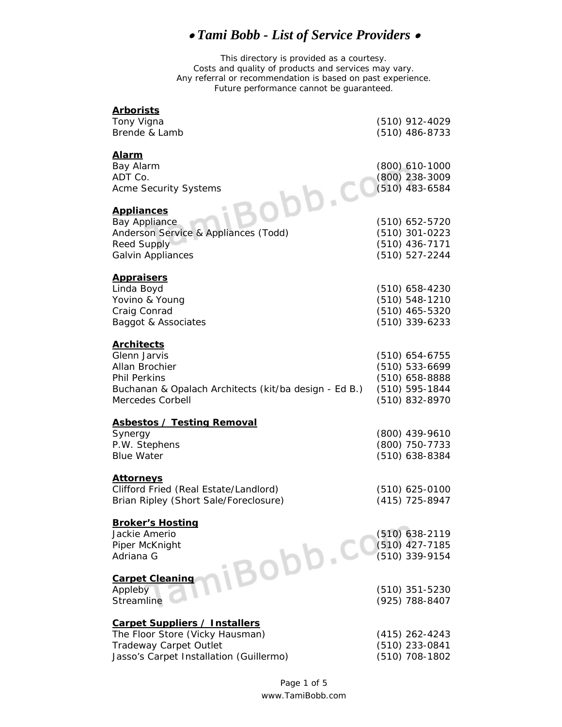## • *Tami Bobb - List of Service Providers* •

This directory is provided as a courtesy. Costs and quality of products and services may vary. Any referral or recommendation is based on past experience. Future performance cannot be guaranteed.

| <b>Arborists</b>                                                          |                                  |
|---------------------------------------------------------------------------|----------------------------------|
| Tony Vigna                                                                | (510) 912-4029                   |
| Brende & Lamb                                                             | $(510)$ 486-8733                 |
| <u>Alarm</u>                                                              |                                  |
| Bay Alarm                                                                 | $(800)$ 610-1000                 |
| ADT Co.                                                                   | $(800)$ 238-3009                 |
| <b>Acme Security Systems</b>                                              | (510) 483-6584                   |
| $b\bar{b}$ . CC                                                           |                                  |
| <b>Appliances</b>                                                         |                                  |
| <b>Bay Appliance</b>                                                      | $(510)$ 652-5720                 |
| Anderson Service & Appliances (Todd)                                      | $(510)$ 301-0223                 |
| <b>Reed Supply</b>                                                        | (510) 436-7171                   |
| Galvin Appliances                                                         | (510) 527-2244                   |
|                                                                           |                                  |
| <b>Appraisers</b>                                                         |                                  |
| Linda Boyd                                                                | $(510)$ 658-4230                 |
| Yovino & Young                                                            | (510) 548-1210                   |
| Craig Conrad                                                              | $(510)$ 465-5320                 |
| Baggot & Associates                                                       | (510) 339-6233                   |
|                                                                           |                                  |
| <b>Architects</b>                                                         |                                  |
| Glenn Jarvis                                                              | $(510)$ 654-6755                 |
| Allan Brochier                                                            | (510) 533-6699                   |
| <b>Phil Perkins</b>                                                       | $(510)$ 658-8888                 |
| Buchanan & Opalach Architects (kit/ba design - Ed B.)<br>Mercedes Corbell | (510) 595-1844<br>(510) 832-8970 |
|                                                                           |                                  |
| <b>Asbestos / Testing Removal</b>                                         |                                  |
| Synergy                                                                   | (800) 439-9610                   |
| P.W. Stephens                                                             | (800) 750-7733                   |
| <b>Blue Water</b>                                                         | (510) 638-8384                   |
|                                                                           |                                  |
| <u>Attorneys</u>                                                          |                                  |
| Clifford Fried (Real Estate/Landlord)                                     | $(510)$ 625-0100                 |
| Brian Ripley (Short Sale/Foreclosure)                                     | (415) 725-8947                   |
|                                                                           |                                  |
| <b>Broker's Hosting</b>                                                   |                                  |
| Jackie Amerio                                                             | $(510)$ 638-2119                 |
| Piper McKnight                                                            | (510) 427-7185                   |
| Adriana G                                                                 | (510) 339-9154                   |
| iBobb.co<br><b>Carpet Cleaning</b>                                        |                                  |
| Appleby                                                                   | $(510)$ 351-5230                 |
| Streamline                                                                | (925) 788-8407                   |
|                                                                           |                                  |
| <b>Carpet Suppliers / Installers</b>                                      |                                  |
| The Floor Store (Vicky Hausman)                                           | $(415)$ 262-4243                 |
| Tradeway Carpet Outlet                                                    | (510) 233-0841                   |
| Jasso's Carpet Installation (Guillermo)                                   | (510) 708-1802                   |
|                                                                           |                                  |

www.TamiBobb.com Page 1 of 5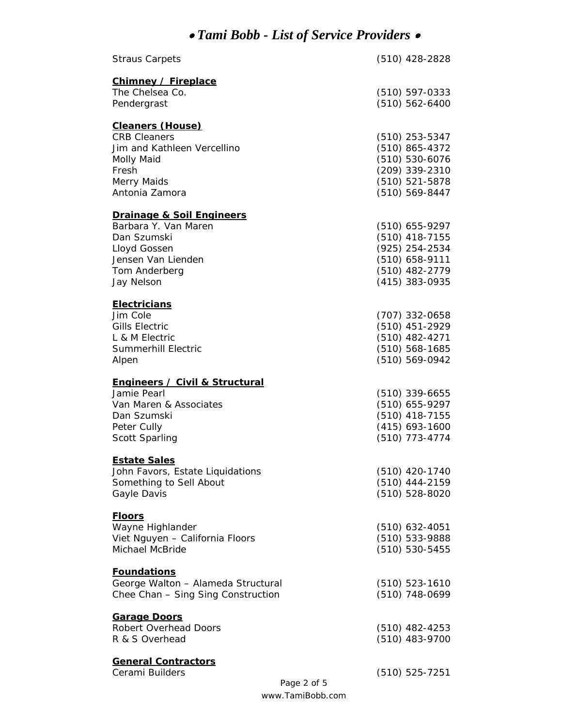## • *Tami Bobb - List of Service Providers* •

| <b>Straus Carpets</b>                              | $(510)$ 428-2828                     |
|----------------------------------------------------|--------------------------------------|
| <b>Chimney / Fireplace</b>                         |                                      |
| The Chelsea Co.                                    | $(510) 597 - 0333$                   |
| Pendergrast                                        | (510) 562-6400                       |
|                                                    |                                      |
| <b>Cleaners (House)</b>                            |                                      |
| <b>CRB Cleaners</b>                                | $(510)$ 253-5347                     |
| Jim and Kathleen Vercellino                        | $(510)$ 865-4372                     |
| Molly Maid                                         | (510) 530-6076                       |
| Fresh                                              | (209) 339-2310                       |
| Merry Maids                                        | (510) 521-5878                       |
| Antonia Zamora                                     | (510) 569-8447                       |
| <b>Drainage &amp; Soil Engineers</b>               |                                      |
| Barbara Y. Van Maren                               | $(510)$ 655-9297                     |
| Dan Szumski                                        | $(510)$ 418-7155                     |
| Lloyd Gossen                                       | (925) 254-2534                       |
| Jensen Van Lienden                                 | (510) 658-9111                       |
| Tom Anderberg                                      | (510) 482-2779                       |
| Jay Nelson                                         | (415) 383-0935                       |
|                                                    |                                      |
| <b>Electricians</b>                                |                                      |
| Jim Cole                                           | (707) 332-0658                       |
| <b>Gills Electric</b>                              | (510) 451-2929                       |
| L & M Electric                                     | (510) 482-4271                       |
| <b>Summerhill Electric</b>                         | $(510) 568 - 1685$                   |
| Alpen                                              | (510) 569-0942                       |
| Engineers / Civil & Structural                     |                                      |
| Jamie Pearl                                        | $(510)$ 339-6655                     |
| Van Maren & Associates                             | $(510)$ 655-9297                     |
| Dan Szumski                                        | $(510)$ 418-7155                     |
| Peter Cully                                        | $(415)$ 693-1600                     |
| Scott Sparling                                     | (510) 773-4774                       |
|                                                    |                                      |
| <b>Estate Sales</b>                                |                                      |
| John Favors, Estate Liquidations                   |                                      |
|                                                    | (510) 420-1740                       |
| Something to Sell About                            | (510) 444-2159                       |
| Gayle Davis                                        | (510) 528-8020                       |
|                                                    |                                      |
| <u>Floors</u>                                      |                                      |
| Wayne Highlander                                   | $(510)$ 632-4051                     |
| Viet Nguyen - California Floors<br>Michael McBride | (510) 533-9888<br>$(510) 530 - 5455$ |
|                                                    |                                      |
| <b>Foundations</b>                                 |                                      |
| George Walton - Alameda Structural                 | $(510) 523 - 1610$                   |
| Chee Chan - Sing Sing Construction                 | (510) 748-0699                       |
|                                                    |                                      |
| <b>Garage Doors</b><br>Robert Overhead Doors       |                                      |
| R & S Overhead                                     | $(510)$ 482-4253<br>(510) 483-9700   |
|                                                    |                                      |
| <b>General Contractors</b>                         |                                      |
| Cerami Builders                                    | $(510)$ 525-7251<br>Page 2 of 5      |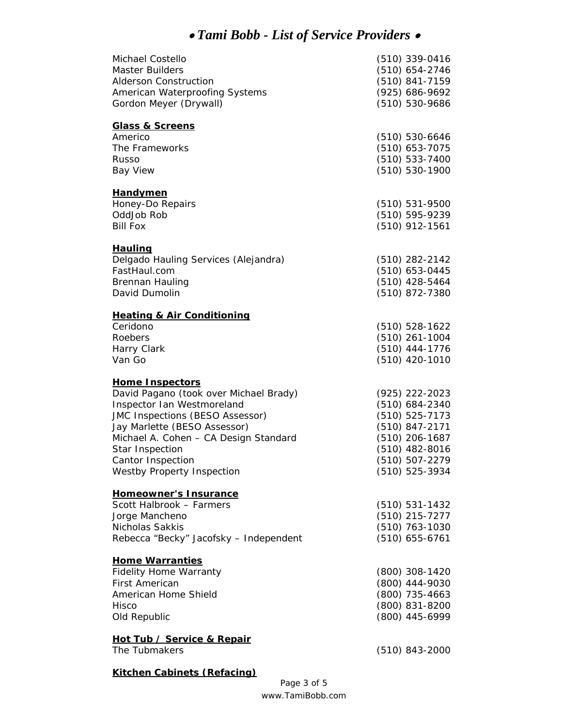## • *Tami Bobb - List of Service Providers* •

| Michael Costello<br><b>Master Builders</b><br><b>Alderson Construction</b><br>American Waterproofing Systems<br>Gordon Meyer (Drywall)                                                                                                                                                         | (510) 339-0416<br>$(510)$ 654-2746<br>(510) 841-7159<br>(925) 686-9692<br>(510) 530-9686                                                               |
|------------------------------------------------------------------------------------------------------------------------------------------------------------------------------------------------------------------------------------------------------------------------------------------------|--------------------------------------------------------------------------------------------------------------------------------------------------------|
| <b>Glass &amp; Screens</b><br>Americo<br>The Frameworks<br>Russo<br><b>Bay View</b>                                                                                                                                                                                                            | $(510) 530 - 6646$<br>(510) 653-7075<br>(510) 533-7400<br>$(510) 530-1900$                                                                             |
| <b>Handymen</b><br>Honey-Do Repairs<br>OddJob Rob<br><b>Bill Fox</b>                                                                                                                                                                                                                           | $(510) 531 - 9500$<br>(510) 595-9239<br>$(510)$ 912-1561                                                                                               |
| <b>Hauling</b><br>Delgado Hauling Services (Alejandra)<br>FastHaul.com<br><b>Brennan Hauling</b><br>David Dumolin                                                                                                                                                                              | $(510)$ 282-2142<br>$(510)$ 653-0445<br>(510) 428-5464<br>(510) 872-7380                                                                               |
| <b>Heating &amp; Air Conditioning</b><br>Ceridono<br>Roebers<br>Harry Clark<br>Van Go                                                                                                                                                                                                          | $(510) 528 - 1622$<br>$(510)$ 261-1004<br>$(510)$ 444-1776<br>(510) 420-1010                                                                           |
| <b>Home Inspectors</b><br>David Pagano (took over Michael Brady)<br>Inspector Ian Westmoreland<br>JMC Inspections (BESO Assessor)<br>Jay Marlette (BESO Assessor)<br>Michael A. Cohen - CA Design Standard<br>Star Inspection<br><b>Cantor Inspection</b><br><b>Westby Property Inspection</b> | (925) 222-2023<br>$(510)$ 684-2340<br>$(510) 525 - 7173$<br>(510) 847-2171<br>$(510)$ 206-1687<br>$(510)$ 482-8016<br>(510) 507-2279<br>(510) 525-3934 |
| <b>Homeowner's Insurance</b><br>Scott Halbrook - Farmers<br>Jorge Mancheno<br>Nicholas Sakkis<br>Rebecca "Becky" Jacofsky - Independent                                                                                                                                                        | $(510) 531 - 1432$<br>(510) 215-7277<br>(510) 763-1030<br>(510) 655-6761                                                                               |
| <b>Home Warranties</b><br><b>Fidelity Home Warranty</b><br><b>First American</b><br>American Home Shield<br>Hisco<br>Old Republic                                                                                                                                                              | (800) 308-1420<br>(800) 444-9030<br>(800) 735-4663<br>(800) 831-8200<br>(800) 445-6999                                                                 |
| Hot Tub / Service & Repair<br>The Tubmakers                                                                                                                                                                                                                                                    | $(510)$ 843-2000                                                                                                                                       |

**Kitchen Cabinets (Refacing)**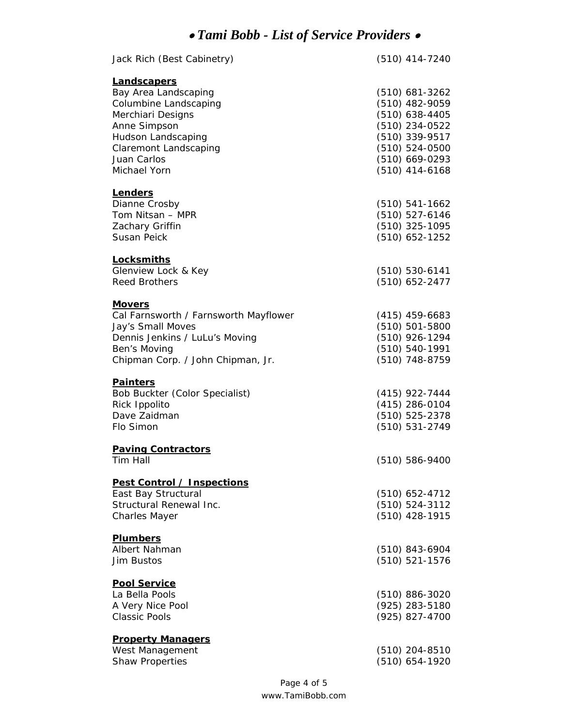| Jack Rich (Best Cabinetry)                                                                                                                                                             | (510) 414-7240                                                                                                                                           |
|----------------------------------------------------------------------------------------------------------------------------------------------------------------------------------------|----------------------------------------------------------------------------------------------------------------------------------------------------------|
| Landscapers<br>Bay Area Landscaping<br>Columbine Landscaping<br>Merchiari Designs<br>Anne Simpson<br>Hudson Landscaping<br><b>Claremont Landscaping</b><br>Juan Carlos<br>Michael Yorn | $(510)$ 681-3262<br>(510) 482-9059<br>$(510)$ 638-4405<br>(510) 234-0522<br>(510) 339-9517<br>$(510) 524 - 0500$<br>$(510)$ 669-0293<br>$(510)$ 414-6168 |
| Lenders<br>Dianne Crosby<br>Tom Nitsan - MPR<br>Zachary Griffin<br>Susan Peick                                                                                                         | $(510) 541-1662$<br>$(510) 527 - 6146$<br>(510) 325-1095<br>$(510)$ 652-1252                                                                             |
| <b>Locksmiths</b><br>Glenview Lock & Key<br><b>Reed Brothers</b>                                                                                                                       | $(510) 530 - 6141$<br>(510) 652-2477                                                                                                                     |
| <b>Movers</b><br>Cal Farnsworth / Farnsworth Mayflower<br>Jay's Small Moves<br>Dennis Jenkins / LuLu's Moving<br>Ben's Moving<br>Chipman Corp. / John Chipman, Jr.                     | $(415)$ 459-6683<br>$(510) 501 - 5800$<br>(510) 926-1294<br>(510) 540-1991<br>(510) 748-8759                                                             |
| <b>Painters</b><br>Bob Buckter (Color Specialist)<br>Rick Ippolito<br>Dave Zaidman<br>Flo Simon                                                                                        | $(415)$ 922-7444<br>(415) 286-0104<br>(510) 525-2378<br>(510) 531-2749                                                                                   |
| <b>Paving Contractors</b><br>Tim Hall                                                                                                                                                  | $(510) 586 - 9400$                                                                                                                                       |
| Pest Control / Inspections<br>East Bay Structural<br>Structural Renewal Inc.<br><b>Charles Mayer</b>                                                                                   | $(510)$ 652-4712<br>(510) 524-3112<br>(510) 428-1915                                                                                                     |
| <b>Plumbers</b><br>Albert Nahman<br>Jim Bustos                                                                                                                                         | $(510)$ 843-6904<br>$(510) 521 - 1576$                                                                                                                   |
| <b>Pool Service</b><br>La Bella Pools<br>A Very Nice Pool<br><b>Classic Pools</b>                                                                                                      | $(510)$ 886-3020<br>(925) 283-5180<br>(925) 827-4700                                                                                                     |
| <b>Property Managers</b><br>West Management<br><b>Shaw Properties</b>                                                                                                                  | $(510)$ 204-8510<br>(510) 654-1920                                                                                                                       |